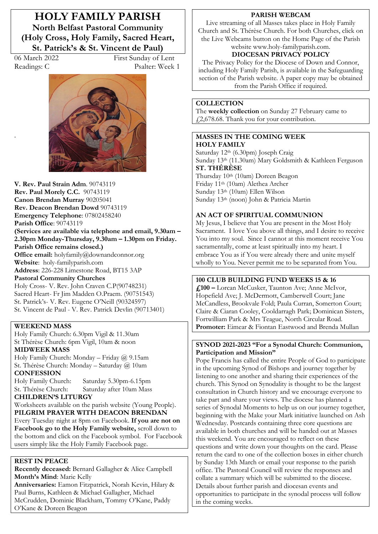**HOLY FAMILY PARISH North Belfast Pastoral Community (Holy Cross, Holy Family, Sacred Heart, St. Patrick's & St. Vincent de Paul)** 

.

06 March 2022 First Sunday of Lent Readings: C Psalter: Week 1



**V. Rev. Paul Strain Adm**. 90743119 **Rev. Paul Morely C.C.** 90743119 **Canon Brendan Murray** 90205041 **Rev. Deacon Brendan Dowd** 90743119 **Emergency Telephone**: 07802458240 **Parish Office**: 90743119 (Services are available via telephone and email,  $9.30$ am -2.30pm Monday-Thursday, 9.30am – 1.30pm on Friday. **Parish Office remains closed.) Office email:** holyfamily@downandconnor.org **Website**: holy-familyparish.com **Address**: 226-228 Limestone Road, BT15 3AP **Pastoral Community Churches** Holy Cross- V. Rev. John Craven C.P(90748231) Sacred Heart- Fr Jim Madden O.Praem. (90751543) St. Patrick's- V. Rev. Eugene O'Neill (90324597) St. Vincent de Paul - V. Rev. Patrick Devlin (90713401)

#### **WEEKEND MASS**

Holy Family Church: 6.30pm Vigil & 11.30am St Thérèse Church: 6pm Vigil, 10am & noon **MIDWEEK MASS**

Holy Family Church: Monday - Friday  $\omega$  9.15am St. Thérèse Church: Monday - Saturday @ 10am **CONFESSION**

Holy Family Church: Saturday 5.30pm-6.15pm St. Thérèse Church: Saturday after 10am Mass

### **CHILDREN·S LITURGY**

Worksheets available on the parish website (Young People). **PILGRIM PRAYER WITH DEACON BRENDAN** Every Tuesday night at 8pm on Facebook. **If you are not on Facebook go to the Holy Family website,** scroll down to the bottom and click on the Facebook symbol. For Facebook users simply like the Holy Family Facebook page.

### **REST IN PEACE**

**Recently deceased:** Bernard Gallagher & Alice Campbell **Month's Mind: Marie Kelly** 

**Anniversaries:** Eamon Fitzpatrick, Norah Kevin, Hilary & Paul Burns, Kathleen & Michael Gallagher, Michael McCrudden, Dominic Blackham, Tommy O'Kane, Paddy O'Kane & Doreen Beagon

#### **PARISH WEBCAM**

Live streaming of all Masses takes place in Holy Family Church and St. Thérèse Church. For both Churches, click on the Live Webcams button on the Home Page of the Parish website www.holy-familyparish.com.

# **DIOCESAN PRIVACY POLICY**

The Privacy Policy for the Diocese of Down and Connor, including Holy Family Parish, is available in the Safeguarding section of the Parish website. A paper copy may be obtained from the Parish Office if required.

#### **COLLECTION**

The **weekly collection** on Sunday 27 February came to £2,678.68. Thank you for your contribution.

#### **MASSES IN THE COMING WEEK HOLY FAMILY**

Saturday 12th (6.30pm) Joseph Craig Sunday 13th (11.30am) Mary Goldsmith & Kathleen Ferguson **ST. THÉRÈSE** 

Thursday 10th (10am) Doreen Beagon Friday 11th (10am) Alethea Archer Sunday 13th (10am) Ellen Wilson Sunday 13th (noon) John & Patricia Martin

#### **AN ACT OF SPIRITUAL COMMUNION**

My Jesus, I believe that You are present in the Most Holy Sacrament. I love You above all things, and I desire to receive You into my soul. Since I cannot at this moment receive You sacramentally, come at least spiritually into my heart. I embrace You as if You were already there and unite myself wholly to You. Never permit me to be separated from You.

#### **100 CLUB BUILDING FUND WEEKS 15 & 16**

**£100 ²** Lorcan McCusker, Taunton Ave; Anne McIvor, Hopefield Ave; J. McDermott, Camberwell Court; Jane McCandless, Brookvale Fold; Paula Curran, Somerton Court; Claire & Ciaran Cooley, Cooldarragh Park; Dominican Sisters, Fortwilliam Park & Mrs Teague, North Circular Road. **Promoter:** Eimear & Fiontan Eastwood and Brenda Mullan

### **SYNOD 2021-2023 "For a Synodal Church: Communion, Participation and Mission"**

Pope Francis has called the entire People of God to participate in the upcoming Synod of Bishops and journey together by listening to one another and sharing their experiences of the church. This Synod on Synodality is thought to be the largest consultation in Church history and we encourage everyone to take part and share your views. The diocese has planned a series of Synodal Moments to help us on our journey together, beginning with the Make your Mark initiative launched on Ash Wednesday. Postcards containing three core questions are available in both churches and will be handed out at Masses this weekend. You are encouraged to reflect on these questions and write down your thoughts on the card. Please return the card to one of the collection boxes in either church by Sunday 13th March or email your response to the parish office. The Pastoral Council will review the responses and collate a summary which will be submitted to the diocese. Details about further parish and diocesan events and opportunities to participate in the synodal process will follow in the coming weeks.